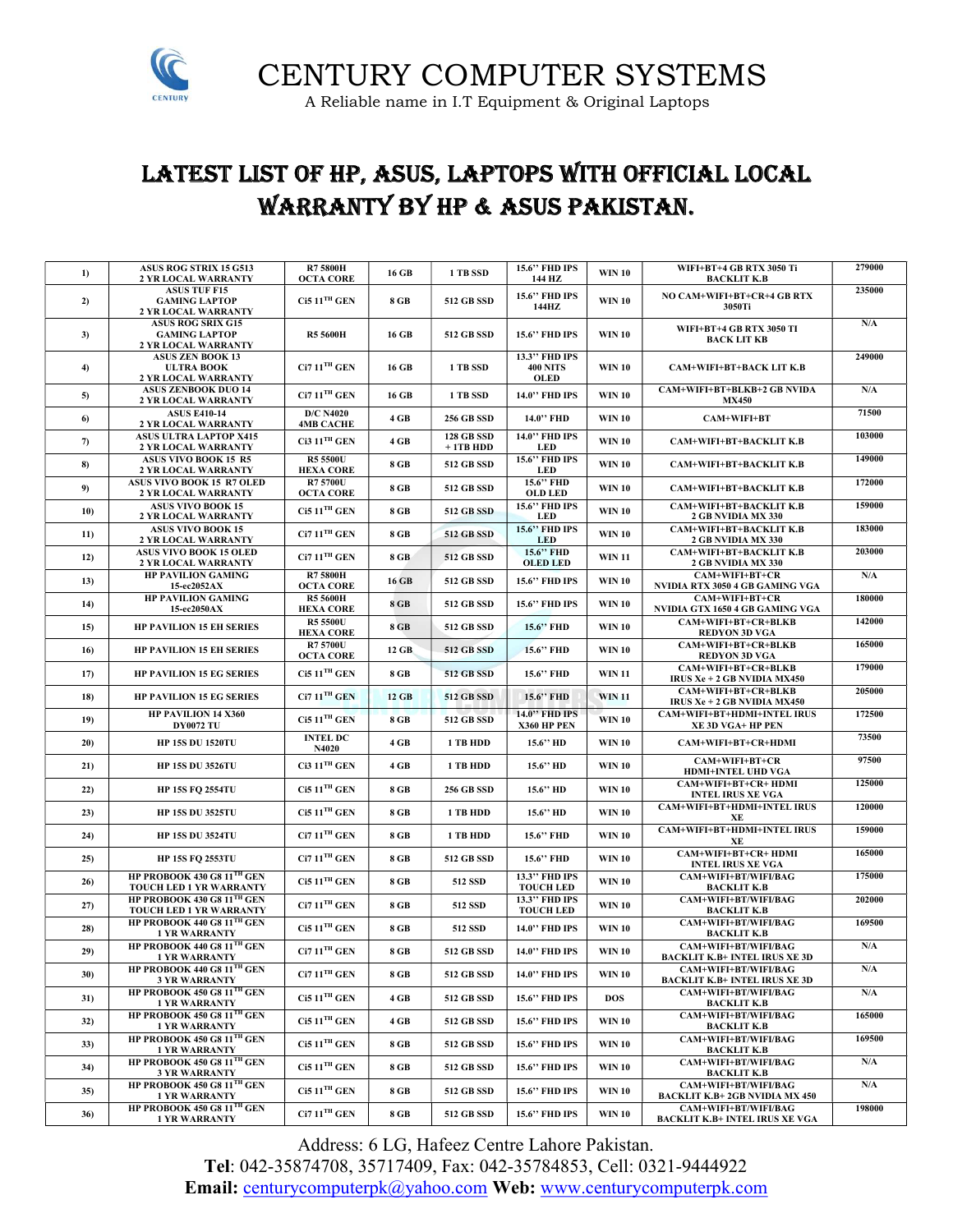

CENTURY COMPUTER SYSTEMS A Reliable name in I.T Equipment & Original Laptops

### LATEST LIST OF HP, ASUS, LAPTOPS WITH OFFICIAL LOCAL WARRANTY BY HP & ASUS PAKISTAN.

| 1)  | ASUS ROG STRIX 15 G513<br>2 YR LOCAL WARRANTY                           | <b>R75800H</b><br><b>OCTA CORE</b>   | 16 GB | 1 TB SSD                       | 15.6" FHD IPS<br>144 HZ                  | <b>WIN 10</b> | WIFI+BT+4 GB RTX 3050 Ti<br><b>BACKLIT K.B</b>                | 279000                  |
|-----|-------------------------------------------------------------------------|--------------------------------------|-------|--------------------------------|------------------------------------------|---------------|---------------------------------------------------------------|-------------------------|
| 2)  | <b>ASUS TUF F15</b><br><b>GAMING LAPTOP</b><br>2 YR LOCAL WARRANTY      | $Ci511$ <sup>TH</sup> GEN            | 8 GB  | <b>512 GB SSD</b>              | 15.6" FHD IPS<br>144HZ                   | <b>WIN 10</b> | NO CAM+WIFI+BT+CR+4 GB RTX<br>3050Ti                          | 235000                  |
| 3)  | <b>ASUS ROG SRIX G15</b><br><b>GAMING LAPTOP</b><br>2 YR LOCAL WARRANTY | <b>R5 5600H</b>                      | 16 GB | <b>512 GB SSD</b>              | 15.6" FHD IPS                            | <b>WIN 10</b> | WIFI+BT+4 GB RTX 3050 TI<br><b>BACK LIT KB</b>                | $\mathbf{N}/\mathbf{A}$ |
| 4)  | <b>ASUS ZEN BOOK 13</b><br><b>ULTRA BOOK</b><br>2 YR LOCAL WARRANTY     | $Ci711$ <sup>TH</sup> GEN            | 16 GB | 1 TB SSD                       | 13.3" FHD IPS<br><b>400 NITS</b><br>OLED | <b>WIN 10</b> | CAM+WIFI+BT+BACK LIT K.B                                      | 249000                  |
| 5)  | <b>ASUS ZENBOOK DUO 14</b><br>2 YR LOCAL WARRANTY                       | $Ci711TH$ GEN                        | 16 GB | 1 TB SSD                       | 14.0" FHD IPS                            | <b>WIN 10</b> | CAM+WIFI+BT+BLKB+2 GB NVIDA<br><b>MX450</b>                   | N/A                     |
| 6)  | <b>ASUS E410-14</b><br>2 YR LOCAL WARRANTY                              | <b>D/C N4020</b><br><b>4MB CACHE</b> | 4 GB  | <b>256 GB SSD</b>              | 14.0" FHD                                | <b>WIN 10</b> | CAM+WIFI+BT                                                   | 71500                   |
| 7)  | <b>ASUS ULTRA LAPTOP X415</b><br>2 YR LOCAL WARRANTY                    | $Ci3 11TH$ GEN                       | 4 GB  | <b>128 GB SSD</b><br>$+1TBHDD$ | 14.0" FHD IPS<br><b>LED</b>              | <b>WIN 10</b> | CAM+WIFI+BT+BACKLIT K.B                                       | 103000                  |
| 8)  | <b>ASUS VIVO BOOK 15 R5</b><br>2 YR LOCAL WARRANTY                      | R5 5500U<br><b>HEXA CORE</b>         | 8 GB  | <b>512 GB SSD</b>              | 15.6" FHD IPS<br><b>LED</b>              | <b>WIN 10</b> | CAM+WIFI+BT+BACKLIT K.B                                       | 149000                  |
| 9)  | ASUS VIVO BOOK 15 R7 OLED<br>2 YR LOCAL WARRANTY                        | <b>R7 5700U</b><br><b>OCTA CORE</b>  | 8 GB  | <b>512 GB SSD</b>              | 15.6" FHD<br><b>OLD LED</b>              | <b>WIN 10</b> | <b>CAM+WIFI+BT+BACKLIT K.B</b>                                | 172000                  |
| 10) | <b>ASUS VIVO BOOK 15</b><br>2 YR LOCAL WARRANTY                         | $Ci511$ <sup>TH</sup> GEN            | 8 GB  | <b>512 GB SSD</b>              | 15.6" FHD IPS<br>LED                     | <b>WIN 10</b> | CAM+WIFI+BT+BACKLIT K.B<br>2 GB NVIDIA MX 330                 | 159000                  |
| 11) | <b>ASUS VIVO BOOK 15</b><br>2 YR LOCAL WARRANTY                         | $Ci711$ <sup>TH</sup> GEN            | 8 GB  | <b>512 GB SSD</b>              | 15.6" FHD IPS<br><b>LED</b>              | <b>WIN 10</b> | CAM+WIFI+BT+BACKLIT K.B<br>2 GB NVIDIA MX 330                 | 183000                  |
| 12) | <b>ASUS VIVO BOOK 15 OLED</b><br>2 YR LOCAL WARRANTY                    | $Ci711TH$ GEN                        | 8 GB  | <b>512 GB SSD</b>              | 15.6" FHD<br><b>OLED LED</b>             | <b>WIN 11</b> | CAM+WIFI+BT+BACKLIT K.B<br>2 GB NVIDIA MX 330                 | 203000                  |
| 13) | <b>HP PAVILION GAMING</b><br>15-ec2052AX                                | <b>R75800H</b><br><b>OCTA CORE</b>   | 16 GB | 512 GB SSD                     | 15.6" FHD IPS                            | <b>WIN 10</b> | CAM+WIFI+BT+CR<br>NVIDIA RTX 3050 4 GB GAMING VGA             | N/A                     |
| 14) | <b>HP PAVILION GAMING</b><br>15-ec2050AX                                | <b>R5 5600H</b><br><b>HEXA CORE</b>  | 8 GB  | <b>512 GB SSD</b>              | 15.6" FHD IPS                            | <b>WIN 10</b> | CAM+WIFI+BT+CR<br>NVIDIA GTX 1650 4 GB GAMING VGA             | 180000                  |
| 15) | <b>HP PAVILION 15 EH SERIES</b>                                         | <b>R5 5500U</b><br><b>HEXA CORE</b>  | 8 GB  | <b>512 GB SSD</b>              | 15.6" FHD                                | <b>WIN 10</b> | CAM+WIFI+BT+CR+BLKB<br><b>REDYON 3D VGA</b>                   | 142000                  |
| 16) | <b>HP PAVILION 15 EH SERIES</b>                                         | <b>R7 5700U</b><br><b>OCTA CORE</b>  | 12 GB | <b>512 GB SSD</b>              | 15.6" FHD                                | <b>WIN 10</b> | CAM+WIFI+BT+CR+BLKB<br><b>REDYON 3D VGA</b>                   | 165000                  |
| 17) | <b>HP PAVILION 15 EG SERIES</b>                                         | $Ci511$ <sup>TH</sup> GEN            | 8 GB  | <b>512 GB SSD</b>              | 15.6" FHD                                | <b>WIN 11</b> | CAM+WIFI+BT+CR+BLKB<br><b>IRUS Xe + 2 GB NVIDIA MX450</b>     | 179000                  |
| 18) | <b>HP PAVILION 15 EG SERIES</b>                                         | $Ci711$ <sup>TH</sup> GEN            | 12 GB | <b>512 GB SSD</b>              | 15.6" FHD                                | <b>WIN11</b>  | CAM+WIFI+BT+CR+BLKB<br><b>IRUS Xe + 2 GB NVIDIA MX450</b>     | 205000                  |
| 19) | HP PAVILION 14 X360<br><b>DY0072 TU</b>                                 | $Ci511$ <sup>TH</sup> GEN            | 8 GB  | <b>512 GB SSD</b>              | 14.0" FHD IPS<br>X360 HP PEN             | <b>WIN 10</b> | <b>CAM+WIFI+BT+HDMI+INTEL IRUS</b><br>XE 3D VGA+ HP PEN       | 172500                  |
| 20) | <b>HP 15S DU 1520TU</b>                                                 | <b>INTEL DC</b><br>N4020             | 4 GB  | 1 TB HDD                       | 15.6" HD                                 | <b>WIN 10</b> | CAM+WIFI+BT+CR+HDMI                                           | 73500                   |
| 21) | <b>HP 15S DU 3526TU</b>                                                 | $Ci3 11TH$ GEN                       | 4 GB  | 1 TB HDD                       | 15.6" HD                                 | <b>WIN 10</b> | CAM+WIFI+BT+CR<br><b>HDMI+INTEL UHD VGA</b>                   | 97500                   |
| 22) | <b>HP 15S FO 2554TU</b>                                                 | $Ci511$ <sup>TH</sup> GEN            | 8 GB  | <b>256 GB SSD</b>              | 15.6" HD                                 | <b>WIN 10</b> | CAM+WIFI+BT+CR+ HDMI<br><b>INTEL IRUS XE VGA</b>              | 125000                  |
| 23) | <b>HP 15S DU 3525TU</b>                                                 | $Ci511$ <sup>TH</sup> GEN            | 8 GB  | 1 TB HDD                       | 15.6" HD                                 | <b>WIN 10</b> | <b>CAM+WIFI+BT+HDMI+INTEL IRUS</b><br>XE                      | 120000                  |
| 24) | <b>HP 15S DU 3524TU</b>                                                 | $Ci7 11TH$ GEN                       | 8 GB  | 1 TB HDD                       | 15.6" FHD                                | <b>WIN 10</b> | <b>CAM+WIFI+BT+HDMI+INTEL IRUS</b><br>XE                      | 159000                  |
| 25) | <b>HP 15S FQ 2553TU</b>                                                 | $Ci7 11TH$ GEN                       | 8 GB  | <b>512 GB SSD</b>              | 15.6" FHD                                | <b>WIN 10</b> | CAM+WIFI+BT+CR+ HDMI<br><b>INTEL IRUS XE VGA</b>              | 165000                  |
| 26) | HP PROBOOK 430 G8 11TH GEN<br>TOUCH LED 1 YR WARRANTY                   | $Ci511$ <sup>TH</sup> GEN            | 8 GB  | 512 SSD                        | 13.3" FHD IPS<br><b>TOUCH LED</b>        | <b>WIN 10</b> | CAM+WIFI+BT/WIFI/BAG<br><b>BACKLIT K.B</b>                    | 175000                  |
| 27) | HP PROBOOK 430 G8 11TH GEN<br>TOUCH LED 1 YR WARRANTY                   | $Ci711TH$ GEN                        | 8 GB  | 512 SSD                        | 13.3" FHD IPS<br><b>TOUCH LED</b>        | <b>WIN 10</b> | CAM+WIFI+BT/WIFI/BAG<br><b>BACKLIT K.B</b>                    | 202000                  |
| 28) | HP PROBOOK 440 G8 11TH GEN<br><b>1 YR WARRANTY</b>                      | $Ci511TH$ GEN                        | 8 GB  | 512 SSD                        | 14.0" FHD IPS                            | <b>WIN 10</b> | CAM+WIFI+BT/WIFI/BAG<br>BACKLIT K.B                           | 169500                  |
| 29) | HP PROBOOK 440 G8 11TH GEN<br><b>1 YR WARRANTY</b>                      | $Ci711$ <sup>TH</sup> GEN            | 8 GB  | 512 GB SSD                     | 14.0" FHD IPS                            | <b>WIN 10</b> | CAM+WIFI+BT/WIFI/BAG<br><b>BACKLIT K.B+ INTEL IRUS XE 3D</b>  | N/A                     |
| 30) | HP PROBOOK 440 G8 $11TH$ GEN<br><b>3 YR WARRANTY</b>                    | $Ci711TH$ GEN                        | 8 GB  | <b>512 GB SSD</b>              | 14.0" FHD IPS                            | <b>WIN 10</b> | CAM+WIFI+BT/WIFI/BAG<br><b>BACKLIT K.B+ INTEL IRUS XE 3D</b>  | N/A                     |
| 31) | HP PROBOOK 450 G8 11TH GEN<br><b>1 YR WARRANTY</b>                      | $Ci511TH$ GEN                        | 4 GB  | 512 GB SSD                     | 15.6" FHD IPS                            | <b>DOS</b>    | CAM+WIFI+BT/WIFI/BAG<br>BACKLIT K.B                           | N/A                     |
| 32) | HP PROBOOK 450 G8 $11TH$ GEN<br><b>1 YR WARRANTY</b>                    | $Ci511$ <sup>TH</sup> GEN            | 4 GB  | 512 GB SSD                     | 15.6" FHD IPS                            | <b>WIN 10</b> | CAM+WIFI+BT/WIFI/BAG<br><b>BACKLIT K.B</b>                    | 165000                  |
| 33) | HP PROBOOK 450 G8 $11TH$ GEN<br><b>1 YR WARRANTY</b>                    | $Ci511$ <sup>TH</sup> GEN            | 8 GB  | 512 GB SSD                     | 15.6" FHD IPS                            | <b>WIN 10</b> | <b>CAM+WIFI+BT/WIFI/BAG</b><br><b>BACKLIT K.B</b>             | 169500                  |
| 34) | HP PROBOOK 450 G8 11TH GEN<br><b>3 YR WARRANTY</b>                      | $Ci511$ <sup>TH</sup> GEN            | 8 GB  | <b>512 GB SSD</b>              | 15.6" FHD IPS                            | <b>WIN 10</b> | CAM+WIFI+BT/WIFI/BAG<br><b>BACKLIT K.B</b>                    | N/A                     |
| 35) | HP PROBOOK 450 G8 11TH GEN<br><b>1 YR WARRANTY</b>                      | $Ci511$ <sup>TH</sup> GEN            | 8 GB  | 512 GB SSD                     | 15.6" FHD IPS                            | <b>WIN 10</b> | CAM+WIFI+BT/WIFI/BAG<br><b>BACKLIT K.B+2GB NVIDIA MX 450</b>  | N/A                     |
| 36) | HP PROBOOK 450 G8 $11TH$ GEN<br><b>1 YR WARRANTY</b>                    | $Ci711TH$ GEN                        | 8 GB  | 512 GB SSD                     | <b>15.6" FHD IPS</b>                     | <b>WIN 10</b> | CAM+WIFI+BT/WIFI/BAG<br><b>BACKLIT K.B+ INTEL IRUS XE VGA</b> | 198000                  |

Address: 6 LG, Hafeez Centre Lahore Pakistan. Tel: 042-35874708, 35717409, Fax: 042-35784853, Cell: 0321-9444922 Email: centurycomputerpk@yahoo.com Web: www.centurycomputerpk.com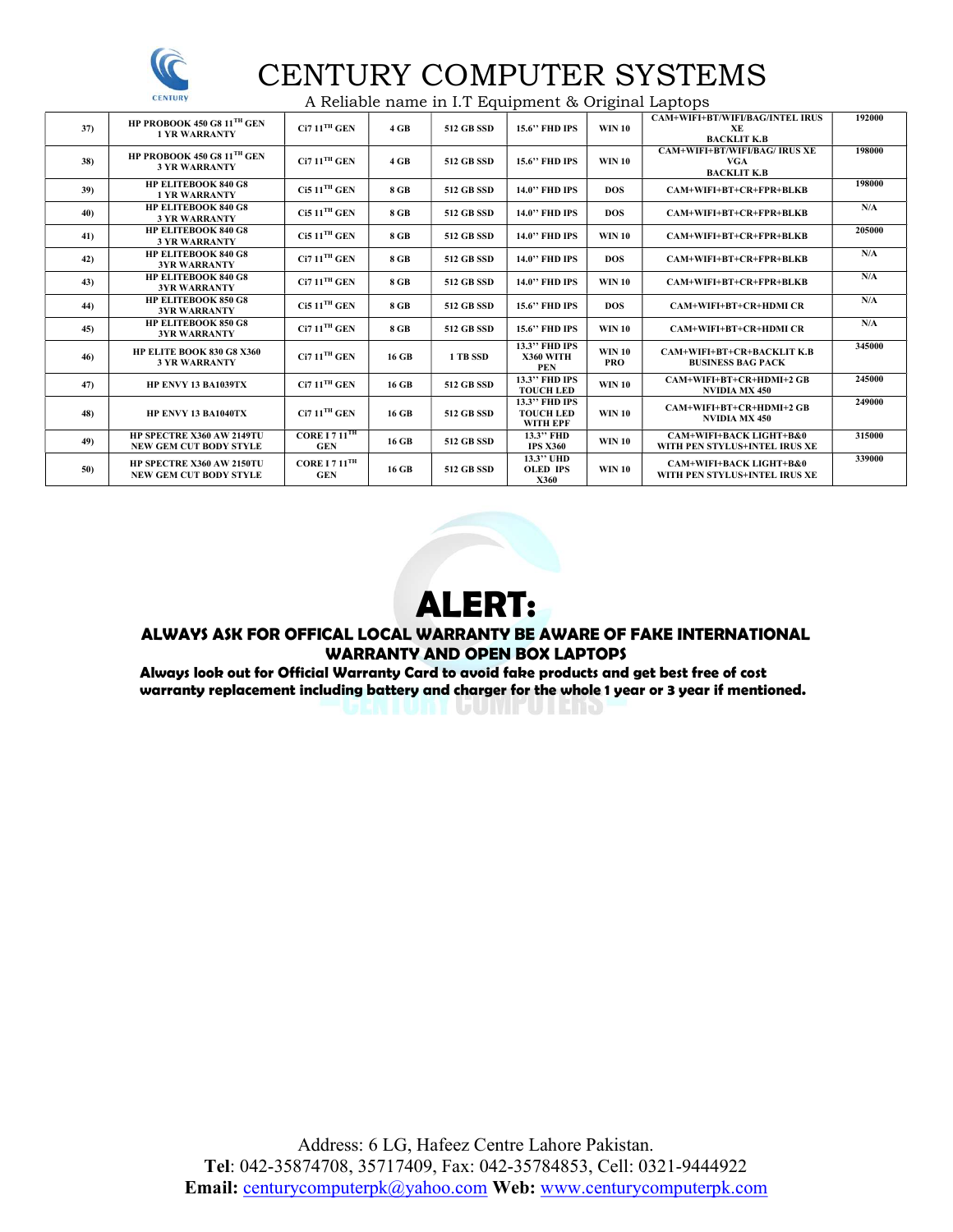

# CENTURY COMPUTER SYSTEMS

A Reliable name in I.T Equipment & Original Laptops

| 37) | HP PROBOOK 450 G8 $11TH$ GEN<br><b>1 YR WARRANTY</b>       | $\rm Ci7\,11^{TH}\,GEN$                   | 4 GB  | <b>512 GB SSD</b> | <b>15.6" FHD IPS</b>                                 | <b>WIN 10</b>               | <b>CAM+WIFI+BT/WIFI/BAG/INTEL IRUS</b><br>XE<br><b>BACKLIT K.B</b>       | 192000 |
|-----|------------------------------------------------------------|-------------------------------------------|-------|-------------------|------------------------------------------------------|-----------------------------|--------------------------------------------------------------------------|--------|
| 38) | HP PROBOOK 450 G8 $11TH$ GEN<br><b>3 YR WARRANTY</b>       | $Ci711$ <sup>TH</sup> GEN                 | 4 GB  | <b>512 GB SSD</b> | <b>15.6" FHD IPS</b>                                 | <b>WIN 10</b>               | <b>CAM+WIFI+BT/WIFI/BAG/ IRUS XE</b><br><b>VGA</b><br><b>BACKLIT K.B</b> | 198000 |
| 39) | <b>HP ELITEBOOK 840 G8</b><br><b>1 YR WARRANTY</b>         | $Ci511$ <sup>TH</sup> GEN                 | 8 GB  | <b>512 GB SSD</b> | <b>14.0" FHD IPS</b>                                 | DOS.                        | CAM+WIFI+BT+CR+FPR+BLKB                                                  | 198000 |
| 40) | <b>HP ELITEBOOK 840 G8</b><br><b>3 YR WARRANTY</b>         | $Ci511$ <sup>TH</sup> GEN                 | 8 GB  | <b>512 GB SSD</b> | <b>14.0" FHD IPS</b>                                 | <b>DOS</b>                  | CAM+WIFI+BT+CR+FPR+BLKB                                                  | N/A    |
| 41) | <b>HP ELITEBOOK 840 G8</b><br><b>3 YR WARRANTY</b>         | $Ci511$ <sup>TH</sup> GEN                 | 8 GB  | <b>512 GB SSD</b> | 14.0" FHD IPS                                        | <b>WIN 10</b>               | CAM+WIFI+BT+CR+FPR+BLKB                                                  | 205000 |
| 42) | <b>HP ELITEBOOK 840 G8</b><br><b>3YR WARRANTY</b>          | $Ci711TH$ GEN                             | 8 GB  | <b>512 GB SSD</b> | 14.0" FHD IPS                                        | <b>DOS</b>                  | CAM+WIFI+BT+CR+FPR+BLKB                                                  | N/A    |
| 43) | <b>HP ELITEBOOK 840 G8</b><br><b>3YR WARRANTY</b>          | $Ci711$ <sup>TH</sup> GEN                 | 8 GB  | <b>512 GB SSD</b> | <b>14.0" FHD IPS</b>                                 | <b>WIN 10</b>               | CAM+WIFI+BT+CR+FPR+BLKB                                                  | N/A    |
| 44) | <b>HP ELITEBOOK 850 G8</b><br><b>3YR WARRANTY</b>          | $Ci511$ <sup>TH</sup> GEN                 | 8 GB  | <b>512 GB SSD</b> | <b>15.6" FHD IPS</b>                                 | <b>DOS</b>                  | <b>CAM+WIFI+BT+CR+HDMI CR</b>                                            | N/A    |
| 45) | <b>HP ELITEBOOK 850 G8</b><br><b>3YR WARRANTY</b>          | $Ci711$ <sup>TH</sup> GEN                 | 8 GB  | <b>512 GB SSD</b> | <b>15.6" FHD IPS</b>                                 | <b>WIN 10</b>               | <b>CAM+WIFI+BT+CR+HDMI CR</b>                                            | N/A    |
| 46) | HP ELITE BOOK 830 G8 X360<br><b>3 YR WARRANTY</b>          | $Ci711TH$ GEN                             | 16 GB | 1 TB SSD          | 13.3" FHD IPS<br>X360 WITH<br><b>PEN</b>             | <b>WIN 10</b><br><b>PRO</b> | <b>CAM+WIFI+BT+CR+BACKLIT K.B</b><br><b>BUSINESS BAG PACK</b>            | 345000 |
| 47) | <b>HP ENVY 13 BA1039TX</b>                                 | $Ci711$ <sup>TH</sup> GEN                 | 16 GB | <b>512 GB SSD</b> | 13.3" FHD IPS<br><b>TOUCH LED</b>                    | <b>WIN 10</b>               | CAM+WIFI+BT+CR+HDMI+2 GB<br><b>NVIDIA MX 450</b>                         | 245000 |
| 48) | <b>HP ENVY 13 BA1040TX</b>                                 | $Ci711$ <sup>TH</sup> GEN                 | 16 GB | <b>512 GB SSD</b> | 13.3" FHD IPS<br><b>TOUCH LED</b><br><b>WITH EPF</b> | <b>WIN 10</b>               | CAM+WIFI+BT+CR+HDMI+2 GB<br><b>NVIDIA MX 450</b>                         | 249000 |
| 49) | HP SPECTRE X360 AW 2149TU<br><b>NEW GEM CUT BODY STYLE</b> | CORE I $711$ <sup>TH</sup><br><b>GEN</b>  | 16 GB | <b>512 GB SSD</b> | 13.3" FHD<br><b>IPS X360</b>                         | <b>WIN 10</b>               | <b>CAM+WIFI+BACK LIGHT+B&amp;0</b><br>WITH PEN STYLUS+INTEL IRUS XE      | 315000 |
| 50) | HP SPECTRE X360 AW 2150TU<br><b>NEW GEM CUT BODY STYLE</b> | CORE I 7 $11$ <sup>TH</sup><br><b>GEN</b> | 16 GB | <b>512 GB SSD</b> | 13.3" UHD<br><b>OLED IPS</b><br>X360                 | <b>WIN 10</b>               | <b>CAM+WIFI+BACK LIGHT+B&amp;0</b><br>WITH PEN STYLUS+INTEL IRUS XE      | 339000 |



#### ALWAYS ASK FOR OFFICAL LOCAL WARRANTY BE AWARE OF FAKE INTERNATIONAL WARRANTY AND OPEN BOX LAPTOPS

Always look out for Official Warranty Card to avoid fake products and get best free of cost warranty replacement including battery and charger for the whole 1 year or 3 year if mentioned.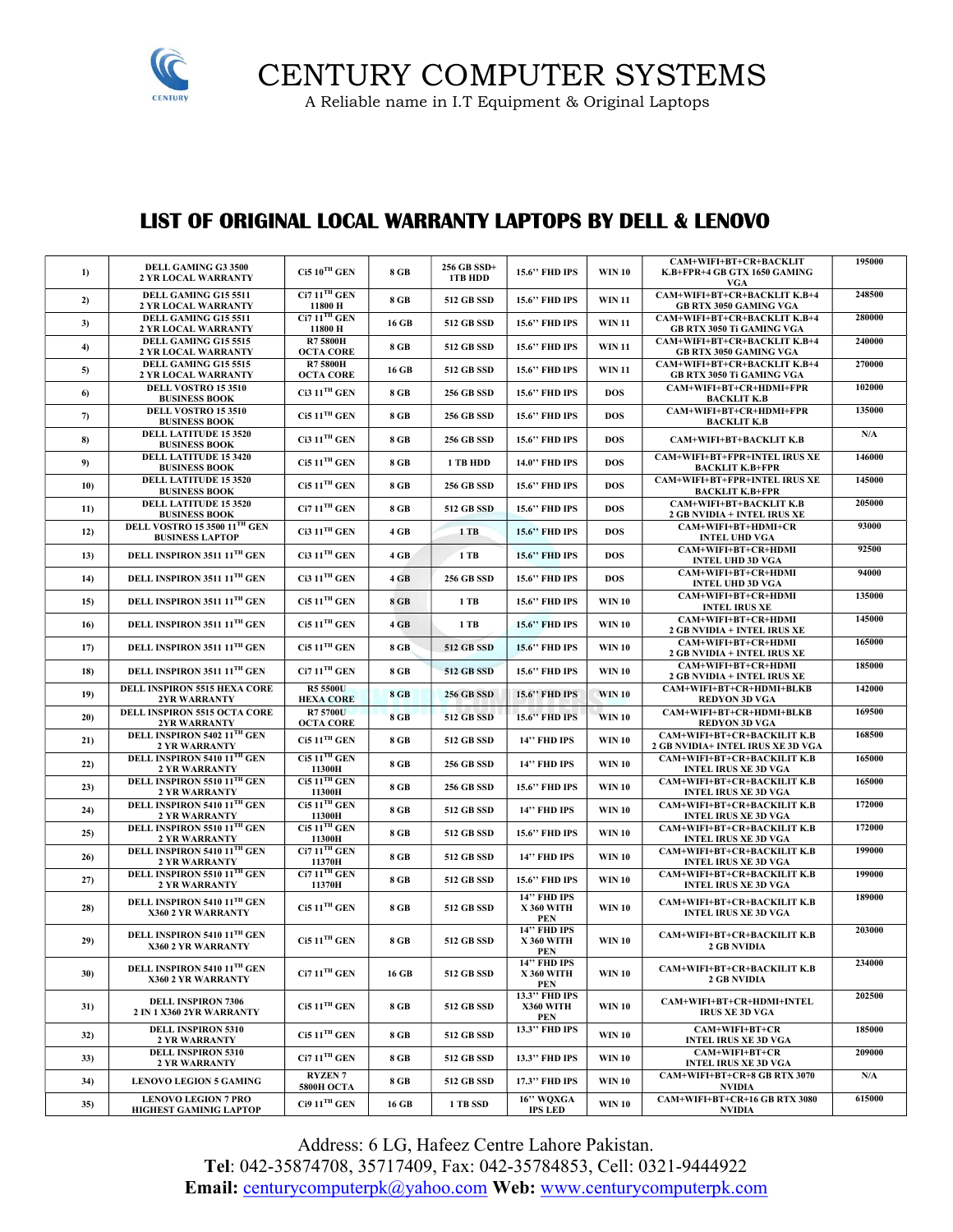

CENTURY COMPUTER SYSTEMS

A Reliable name in I.T Equipment & Original Laptops

### LIST OF ORIGINAL LOCAL WARRANTY LAPTOPS BY DELL & LENOVO

| 1)  | DELL GAMING G3 3500<br><b>2 YR LOCAL WARRANTY</b>                       | $Ci510TH$ GEN                        | 8 GB        | 256 GB SSD+<br>1TB HDD | 15.6" FHD IPS                                         | <b>WIN 10</b> | CAM+WIFI+BT+CR+BACKLIT<br>K.B+FPR+4 GB GTX 1650 GAMING                      | 195000                  |
|-----|-------------------------------------------------------------------------|--------------------------------------|-------------|------------------------|-------------------------------------------------------|---------------|-----------------------------------------------------------------------------|-------------------------|
| 2)  | DELL GAMING G15 5511<br>2 YR LOCAL WARRANTY                             | $Ci711TH$ GEN<br>11800 H             | 8 GB        | <b>512 GB SSD</b>      | 15.6" FHD IPS                                         | <b>WIN 11</b> | <b>VGA</b><br>CAM+WIFI+BT+CR+BACKLIT K.B+4<br><b>GB RTX 3050 GAMING VGA</b> | 248500                  |
| 3)  | DELL GAMING G15 5511<br>2 YR LOCAL WARRANTY                             | $Ci711$ <sup>TH</sup> GEN<br>11800 H | 16 GB       | 512 GB SSD             | <b>15.6" FHD IPS</b>                                  | <b>WIN 11</b> | CAM+WIFI+BT+CR+BACKLIT K.B+4<br>GB RTX 3050 Ti GAMING VGA                   | 280000                  |
| 4)  | DELL GAMING G15 5515<br>2 YR LOCAL WARRANTY                             | <b>R75800H</b><br><b>OCTA CORE</b>   | 8 GB        | 512 GB SSD             | 15.6" FHD IPS                                         | <b>WIN 11</b> | CAM+WIFI+BT+CR+BACKLIT K.B+4<br>GB RTX 3050 GAMING VGA                      | 240000                  |
| 5)  | DELL GAMING G15 5515<br><b>2 YR LOCAL WARRANTY</b>                      | <b>R75800H</b><br><b>OCTA CORE</b>   | 16 GB       | <b>512 GB SSD</b>      | <b>15.6" FHD IPS</b>                                  | <b>WIN 11</b> | CAM+WIFI+BT+CR+BACKLIT K.B+4<br>GB RTX 3050 Ti GAMING VGA                   | 270000                  |
| 6)  | DELL VOSTRO 15 3510<br><b>BUSINESS BOOK</b>                             | $Ci3 11TH$ GEN                       | 8 GB        | <b>256 GB SSD</b>      | 15.6" FHD IPS                                         | <b>DOS</b>    | CAM+WIFI+BT+CR+HDMI+FPR<br><b>BACKLIT K.B</b>                               | 102000                  |
| 7)  | DELL VOSTRO 15 3510<br><b>BUSINESS BOOK</b>                             | $Ci511TH$ GEN                        | 8 GB        | <b>256 GB SSD</b>      | 15.6" FHD IPS                                         | <b>DOS</b>    | CAM+WIFI+BT+CR+HDMI+FPR<br><b>BACKLIT K.B</b>                               | 135000                  |
| 8)  | <b>DELL LATITUDE 15 3520</b><br><b>BUSINESS BOOK</b>                    | $Ci3 11TH$ GEN                       | 8 GB        | <b>256 GB SSD</b>      | <b>15.6" FHD IPS</b>                                  | <b>DOS</b>    | <b>CAM+WIFI+BT+BACKLIT K.B</b>                                              | N/A                     |
| 9)  | <b>DELL LATITUDE 15 3420</b><br><b>BUSINESS BOOK</b>                    | $Ci511$ <sup>TH</sup> GEN            | 8 GB        | 1 TB HDD               | 14.0" FHD IPS                                         | <b>DOS</b>    | <b>CAM+WIFI+BT+FPR+INTEL IRUS XE</b><br><b>BACKLIT K.B+FPR</b>              | 146000                  |
| 10) | <b>DELL LATITUDE 15 3520</b><br><b>BUSINESS BOOK</b>                    | $Ci511$ <sup>TH</sup> GEN            | 8 GB        | <b>256 GB SSD</b>      | <b>15.6" FHD IPS</b>                                  | <b>DOS</b>    | <b>CAM+WIFI+BT+FPR+INTEL IRUS XE</b><br><b>BACKLIT K.B+FPR</b>              | 145000                  |
| 11) | <b>DELL LATITUDE 15 3520</b><br><b>BUSINESS BOOK</b>                    | $Ci711$ <sup>TH</sup> GEN            | 8 GB        | <b>512 GB SSD</b>      | 15.6" FHD IPS                                         | <b>DOS</b>    | CAM+WIFI+BT+BACKLIT K.B<br>2 GB NVIDIA + INTEL IRUS XE                      | 205000                  |
| 12) | <b>DELL VOSTRO 15 3500 11TH GEN</b><br><b>BUSINESS LAPTOP</b>           | $Ci3 11TH$ GEN                       | 4 GB        | $1$ TB                 | <b>15.6" FHD IPS</b>                                  | <b>DOS</b>    | CAM+WIFI+BT+HDMI+CR<br><b>INTEL UHD VGA</b>                                 | 93000                   |
| 13) | DELL INSPIRON 3511 11 <sup>TH</sup> GEN                                 | $Ci3 11TH$ GEN                       | 4 GB        | $1$ TB                 | 15.6" FHD IPS                                         | <b>DOS</b>    | CAM+WIFI+BT+CR+HDMI<br><b>INTEL UHD 3D VGA</b>                              | 92500                   |
| 14) | DELL INSPIRON 3511 11TH GEN                                             | $Ci3 11TH$ GEN                       | $4$ GB      | <b>256 GB SSD</b>      | 15.6" FHD IPS                                         | <b>DOS</b>    | CAM+WIFI+BT+CR+HDMI<br><b>INTEL UHD 3D VGA</b>                              | 94000                   |
| 15) | DELL INSPIRON 3511 11 <sup>TH</sup> GEN                                 | $Ci511$ <sup>TH</sup> GEN            | 8 GB        | 1 TB                   | 15.6" FHD IPS                                         | <b>WIN 10</b> | CAM+WIFI+BT+CR+HDMI<br><b>INTEL IRUS XE</b>                                 | 135000<br>145000        |
| 16) | DELL INSPIRON 3511 11 <sup>TH</sup> GEN                                 | $Ci511$ <sup>TH</sup> GEN            | $4$ GB      | 1 TB                   | <b>15.6" FHD IPS</b>                                  | <b>WIN 10</b> | CAM+WIFI+BT+CR+HDMI<br>2 GB NVIDIA + INTEL IRUS XE<br>CAM+WIFI+BT+CR+HDMI   | 165000                  |
| 17) | DELL INSPIRON 3511 11TH GEN                                             | $Ci511$ <sup>TH</sup> GEN            | 8 GB        | <b>512 GB SSD</b>      | <b>15.6" FHD IPS</b>                                  | <b>WIN 10</b> | 2 GB NVIDIA + INTEL IRUS XE<br>CAM+WIFI+BT+CR+HDMI                          | 185000                  |
| 18) | DELL INSPIRON 3511 11 <sup>TH</sup> GEN<br>DELL INSPIRON 5515 HEXA CORE | $Ci711$ <sup>TH</sup> GEN            | 8 GB        | <b>512 GB SSD</b>      | 15.6" FHD IPS                                         | <b>WIN 10</b> | 2 GB NVIDIA + INTEL IRUS XE                                                 | 142000                  |
| 19) | 2YR WARRANTY                                                            | <b>R5 5500U</b><br><b>HEXA CORE</b>  | <b>8 GB</b> | <b>256 GB SSD</b>      | <b>15.6" FHD IPS</b>                                  | <b>WIN 10</b> | CAM+WIFI+BT+CR+HDMI+BLKB<br><b>REDYON 3D VGA</b>                            |                         |
| 20) | DELL INSPIRON 5515 OCTA CORE<br>2YR WARRANTY                            | <b>R75700U</b><br><b>OCTA CORE</b>   | <b>8 GB</b> | <b>512 GB SSD</b>      | <b>15.6" FHD IPS</b>                                  | <b>WIN 10</b> | CAM+WIFI+BT+CR+HDMI+BLKB<br><b>REDYON 3D VGA</b>                            | 169500                  |
| 21) | DELL INSPIRON 5402 11TH GEN<br><b>2 YR WARRANTY</b>                     | $Ci511$ <sup>TH</sup> GEN            | 8 GB        | <b>512 GB SSD</b>      | 14" FHD IPS                                           | <b>WIN 10</b> | CAM+WIFI+BT+CR+BACKILIT K.B<br><b>2 GB NVIDIA+ INTEL IRUS XE 3D VGA</b>     | 168500                  |
| 22) | DELL INSPIRON 5410 11TH GEN<br><b>2 YR WARRANTY</b>                     | $Ci511$ <sup>TH</sup> GEN<br>11300H  | 8 GB        | <b>256 GB SSD</b>      | 14" FHD IPS                                           | <b>WIN 10</b> | CAM+WIFI+BT+CR+BACKILIT K.B<br><b>INTEL IRUS XE 3D VGA</b>                  | 165000                  |
| 23) | DELL INSPIRON 5510 11TH GEN<br>2 YR WARRANTY                            | $Ci511$ <sup>TH</sup> GEN<br>11300H  | 8 GB        | <b>256 GB SSD</b>      | <b>15.6" FHD IPS</b>                                  | WIN 10        | CAM+WIFI+BT+CR+BACKILIT K.B<br><b>INTEL IRUS XE 3D VGA</b>                  | 165000                  |
| 24) | DELL INSPIRON 5410 11TH GEN<br><b>2 YR WARRANTY</b>                     | $Ci511$ <sup>TH</sup> GEN<br>11300H  | 8 GB        | <b>512 GB SSD</b>      | 14" FHD IPS                                           | <b>WIN 10</b> | CAM+WIFI+BT+CR+BACKILIT K.B<br><b>INTEL IRUS XE 3D VGA</b>                  | 172000                  |
| 25) | DELL INSPIRON 5510 11TH GEN<br>2 YR WARRANTY                            | $Ci511$ <sup>TH</sup> GEN<br>11300H  | 8 GB        | <b>512 GB SSD</b>      | <b>15.6" FHD IPS</b>                                  | WIN 10        | CAM+WIFI+BT+CR+BACKILIT K.B<br><b>INTEL IRUS XE 3D VGA</b>                  | 172000                  |
| 26) | DELL INSPIRON 5410 11TH GEN<br><b>2 YR WARRANTY</b>                     | $Ci711$ <sup>TH</sup> GEN<br>11370H  | 8 GB        | <b>512 GB SSD</b>      | 14" FHD IPS                                           | <b>WIN 10</b> | CAM+WIFI+BT+CR+BACKILIT K.B<br><b>INTEL IRUS XE 3D VGA</b>                  | 199000                  |
| 27) | DELL INSPIRON 5510 11TH GEN<br><b>2 YR WARRANTY</b>                     | $Ci711$ <sup>TH</sup> GEN<br>11370H  | 8 GB        | <b>512 GB SSD</b>      | <b>15.6" FHD IPS</b>                                  | <b>WIN 10</b> | CAM+WIFI+BT+CR+BACKILIT K.B<br><b>INTEL IRUS XE 3D VGA</b>                  | 199000                  |
| 28) | DELL INSPIRON 5410 11TH GEN<br>X360 2 YR WARRANTY                       | $Ci511$ <sup>TH</sup> GEN            | 8 GB        | <b>512 GB SSD</b>      | 14" FHD IPS<br><b>X 360 WITH</b><br>PEN               | <b>WIN 10</b> | CAM+WIFI+BT+CR+BACKILIT K.B<br><b>INTEL IRUS XE 3D VGA</b>                  | 189000                  |
| 29) | DELL INSPIRON 5410 11TH GEN<br>X360 2 YR WARRANTY                       | $Ci511$ <sup>TH</sup> GEN            | 8 GB        | 512 GB SSD             | <b>14" FHD IPS</b><br><b>X 360 WITH</b><br><b>PEN</b> | <b>WIN 10</b> | CAM+WIFI+BT+CR+BACKILIT K.B<br><b>2 GB NVIDIA</b>                           | 203000                  |
| 30) | DELL INSPIRON 5410 11TH GEN<br>X360 2 YR WARRANTY                       | $Ci711$ <sup>TH</sup> GEN            | 16 GB       | 512 GB SSD             | 14" FHD IPS<br><b>X 360 WITH</b><br>PEN               | <b>WIN 10</b> | CAM+WIFI+BT+CR+BACKILIT K.B<br><b>2 GB NVIDIA</b>                           | 234000                  |
| 31) | <b>DELL INSPIRON 7306</b><br>2 IN 1 X360 2YR WARRANTY                   | $Ci511$ <sup>TH</sup> GEN            | 8 GB        | 512 GB SSD             | 13.3" FHD IPS<br>X360 WITH<br>PEN                     | <b>WIN 10</b> | CAM+WIFI+BT+CR+HDMI+INTEL<br><b>IRUS XE 3D VGA</b>                          | 202500                  |
| 32) | <b>DELL INSPIRON 5310</b><br><b>2 YR WARRANTY</b>                       | $Ci511$ <sup>TH</sup> GEN            | 8 GB        | 512 GB SSD             | 13.3" FHD IPS                                         | <b>WIN 10</b> | CAM+WIFI+BT+CR<br><b>INTEL IRUS XE 3D VGA</b>                               | 185000                  |
| 33) | <b>DELL INSPIRON 5310</b><br><b>2 YR WARRANTY</b>                       | $Ci711$ <sup>TH</sup> GEN            | 8 GB        | 512 GB SSD             | 13.3" FHD IPS                                         | <b>WIN 10</b> | CAM+WIFI+BT+CR<br><b>INTEL IRUS XE 3D VGA</b>                               | 209000                  |
| 34) | <b>LENOVO LEGION 5 GAMING</b>                                           | <b>RYZEN7</b><br><b>5800H OCTA</b>   | 8 GB        | 512 GB SSD             | 17.3" FHD IPS                                         | <b>WIN 10</b> | CAM+WIFI+BT+CR+8 GB RTX 3070<br><b>NVIDIA</b>                               | $\mathbf{N}/\mathbf{A}$ |
| 35) | <b>LENOVO LEGION 7 PRO</b><br>HIGHEST GAMINIG LAPTOP                    | $Ci911$ <sup>TH</sup> GEN            | 16 GB       | 1 TB SSD               | 16" WOXGA<br><b>IPS LED</b>                           | <b>WIN 10</b> | CAM+WIFI+BT+CR+16 GB RTX 3080<br><b>NVIDIA</b>                              | 615000                  |

Address: 6 LG, Hafeez Centre Lahore Pakistan. Tel: 042-35874708, 35717409, Fax: 042-35784853, Cell: 0321-9444922 Email: centurycomputerpk@yahoo.com Web: www.centurycomputerpk.com